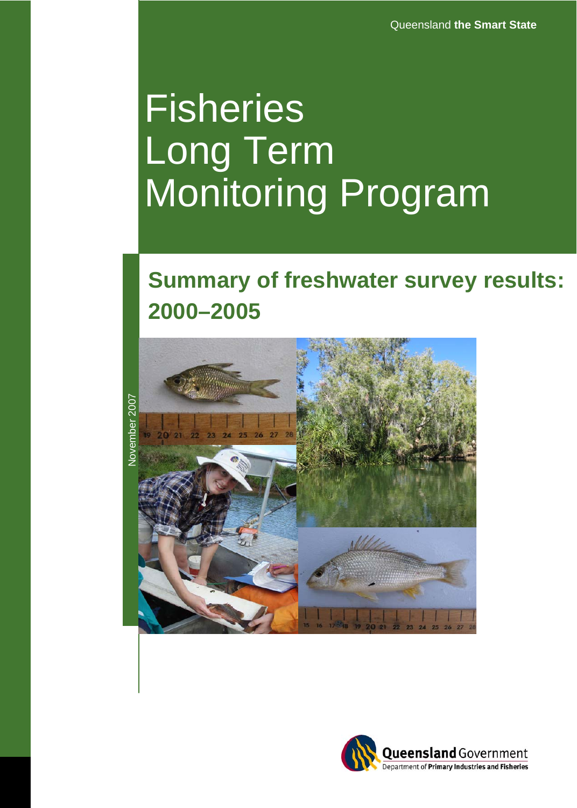# **Fisheries** Long Term Monitoring Program

## **Summary of freshwater survey results: 2000–2005**



 November 2007 Jovember 2007



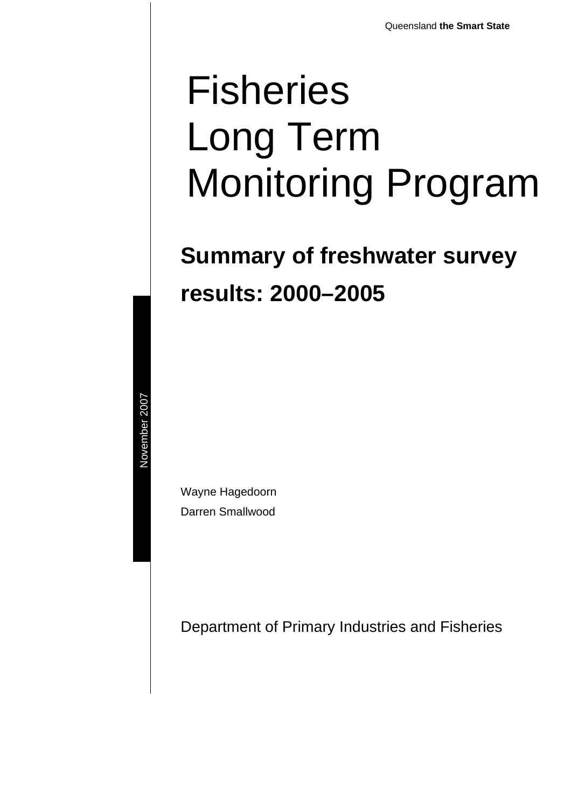# Fisheries Long Term Monitoring Program

## **Summary of freshwater survey results: 2000–2005**

November 2007 November 2007

> Wayne Hagedoorn Darren Smallwood

Department of Primary Industries and Fisheries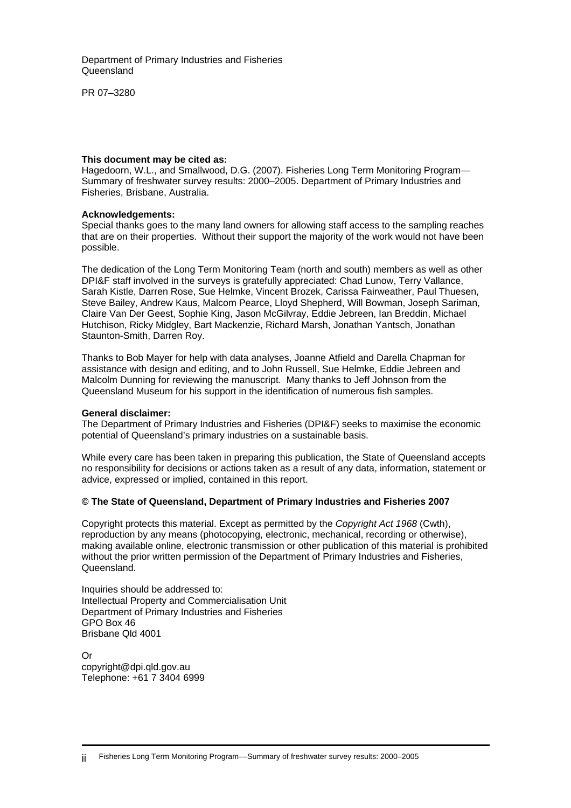Department of Primary Industries and Fisheries Queensland

PR 07–3280

#### **This document may be cited as:**

Hagedoorn, W.L., and Smallwood, D.G. (2007). Fisheries Long Term Monitoring Program— Summary of freshwater survey results: 2000–2005. Department of Primary Industries and Fisheries, Brisbane, Australia.

#### **Acknowledgements:**

Special thanks goes to the many land owners for allowing staff access to the sampling reaches that are on their properties. Without their support the majority of the work would not have been possible.

The dedication of the Long Term Monitoring Team (north and south) members as well as other DPI&F staff involved in the surveys is gratefully appreciated: Chad Lunow, Terry Vallance, Sarah Kistle, Darren Rose, Sue Helmke, Vincent Brozek, Carissa Fairweather, Paul Thuesen, Steve Bailey, Andrew Kaus, Malcom Pearce, Lloyd Shepherd, Will Bowman, Joseph Sariman, Claire Van Der Geest, Sophie King, Jason McGilvray, Eddie Jebreen, Ian Breddin, Michael Hutchison, Ricky Midgley, Bart Mackenzie, Richard Marsh, Jonathan Yantsch, Jonathan Staunton-Smith, Darren Roy.

Thanks to Bob Mayer for help with data analyses, Joanne Atfield and Darella Chapman for assistance with design and editing, and to John Russell, Sue Helmke, Eddie Jebreen and Malcolm Dunning for reviewing the manuscript. Many thanks to Jeff Johnson from the Queensland Museum for his support in the identification of numerous fish samples.

#### **General disclaimer:**

The Department of Primary Industries and Fisheries (DPI&F) seeks to maximise the economic potential of Queensland's primary industries on a sustainable basis.

While every care has been taken in preparing this publication, the State of Queensland accepts no responsibility for decisions or actions taken as a result of any data, information, statement or advice, expressed or implied, contained in this report.

### **© The State of Queensland, Department of Primary Industries and Fisheries 2007**

Copyright protects this material. Except as permitted by the *Copyright Act 1968* (Cwth), reproduction by any means (photocopying, electronic, mechanical, recording or otherwise), making available online, electronic transmission or other publication of this material is prohibited without the prior written permission of the Department of Primary Industries and Fisheries, Queensland.

Inquiries should be addressed to: Intellectual Property and Commercialisation Unit Department of Primary Industries and Fisheries GPO Box 46 Brisbane Qld 4001

Or [copyright@dpi.qld.gov.au](mailto:copyright@dpi.qld.gov.au) Telephone: +61 7 3404 6999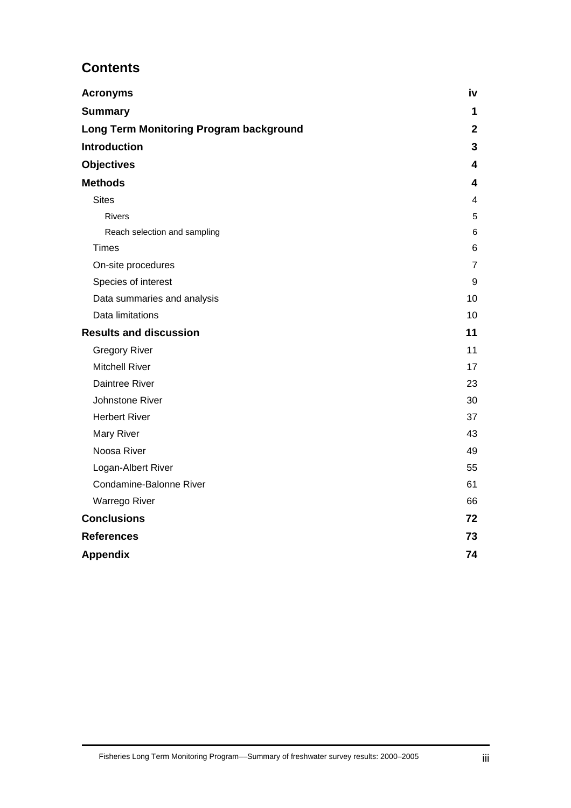## **Contents**

| <b>Acronyms</b>                         | iv                      |
|-----------------------------------------|-------------------------|
| <b>Summary</b>                          | 1                       |
| Long Term Monitoring Program background | $\mathbf{2}$            |
| <b>Introduction</b>                     | 3                       |
| <b>Objectives</b>                       | $\overline{\mathbf{4}}$ |
| <b>Methods</b>                          | 4                       |
| <b>Sites</b>                            | 4                       |
| <b>Rivers</b>                           | 5                       |
| Reach selection and sampling            | 6                       |
| <b>Times</b>                            | 6                       |
| On-site procedures                      | $\overline{7}$          |
| Species of interest                     | 9                       |
| Data summaries and analysis             | 10                      |
| Data limitations                        | 10                      |
| <b>Results and discussion</b>           | 11                      |
| <b>Gregory River</b>                    | 11                      |
| <b>Mitchell River</b>                   | 17                      |
| Daintree River                          | 23                      |
| Johnstone River                         | 30                      |
| <b>Herbert River</b>                    | 37                      |
| <b>Mary River</b>                       | 43                      |
| Noosa River                             | 49                      |
| Logan-Albert River                      | 55                      |
| Condamine-Balonne River                 | 61                      |
| Warrego River                           | 66                      |
| <b>Conclusions</b>                      | 72                      |
| <b>References</b>                       | 73                      |
| <b>Appendix</b>                         | 74                      |
|                                         |                         |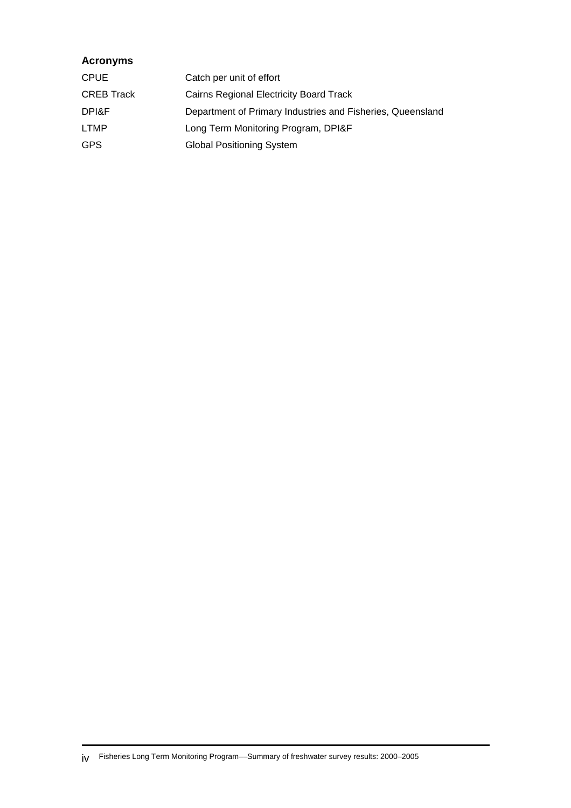## **Acronyms**

| <b>CPUE</b>       | Catch per unit of effort                                   |
|-------------------|------------------------------------------------------------|
| <b>CREB Track</b> | Cairns Regional Electricity Board Track                    |
| DPI&F             | Department of Primary Industries and Fisheries, Queensland |
| <b>LTMP</b>       | Long Term Monitoring Program, DPI&F                        |
| <b>GPS</b>        | <b>Global Positioning System</b>                           |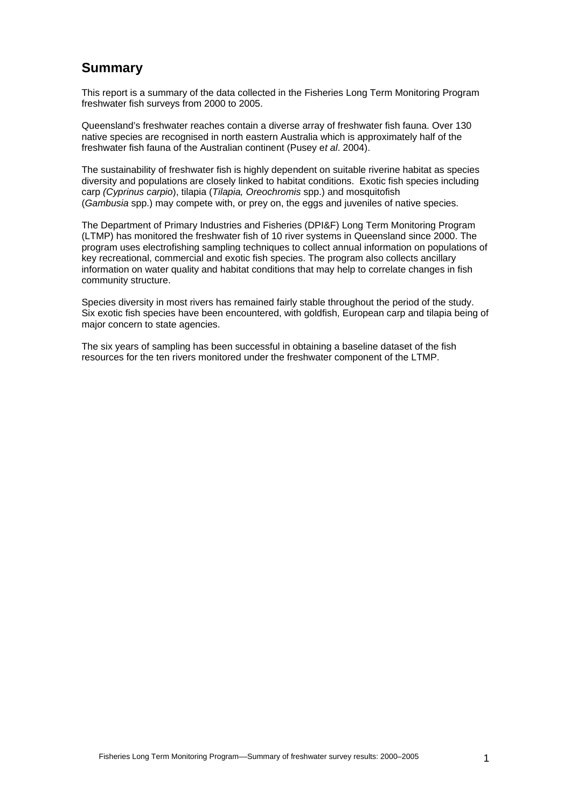## **Summary**

This report is a summary of the data collected in the Fisheries Long Term Monitoring Program freshwater fish surveys from 2000 to 2005.

Queensland's freshwater reaches contain a diverse array of freshwater fish fauna. Over 130 native species are recognised in north eastern Australia which is approximately half of the freshwater fish fauna of the Australian continent (Pusey e*t al*. 2004).

The sustainability of freshwater fish is highly dependent on suitable riverine habitat as species diversity and populations are closely linked to habitat conditions. Exotic fish species including carp *(Cyprinus carpio*), tilapia (*Tilapia, Oreochromis* spp.) and mosquitofish (*Gambusia* spp.) may compete with, or prey on, the eggs and juveniles of native species.

The Department of Primary Industries and Fisheries (DPI&F) Long Term Monitoring Program (LTMP) has monitored the freshwater fish of 10 river systems in Queensland since 2000. The program uses electrofishing sampling techniques to collect annual information on populations of key recreational, commercial and exotic fish species. The program also collects ancillary information on water quality and habitat conditions that may help to correlate changes in fish community structure.

Species diversity in most rivers has remained fairly stable throughout the period of the study. Six exotic fish species have been encountered, with goldfish, European carp and tilapia being of major concern to state agencies.

The six years of sampling has been successful in obtaining a baseline dataset of the fish resources for the ten rivers monitored under the freshwater component of the LTMP.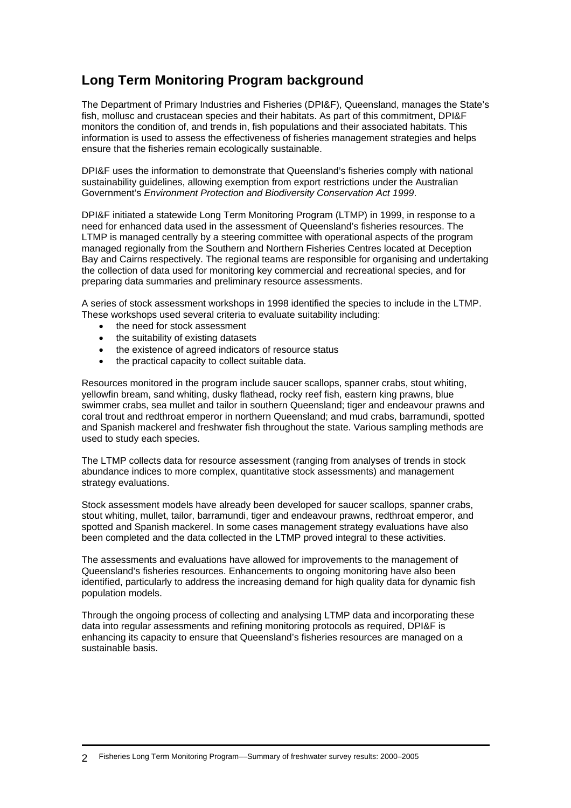## <span id="page-6-0"></span>**Long Term Monitoring Program background**

The Department of Primary Industries and Fisheries (DPI&F), Queensland, manages the State's fish, mollusc and crustacean species and their habitats. As part of this commitment, DPI&F monitors the condition of, and trends in, fish populations and their associated habitats. This information is used to assess the effectiveness of fisheries management strategies and helps ensure that the fisheries remain ecologically sustainable.

DPI&F uses the information to demonstrate that Queensland's fisheries comply with national sustainability guidelines, allowing exemption from export restrictions under the Australian Government's *Environment Protection and Biodiversity Conservation Act 1999*.

DPI&F initiated a statewide Long Term Monitoring Program (LTMP) in 1999, in response to a need for enhanced data used in the assessment of Queensland's fisheries resources. The LTMP is managed centrally by a steering committee with operational aspects of the program managed regionally from the Southern and Northern Fisheries Centres located at Deception Bay and Cairns respectively. The regional teams are responsible for organising and undertaking the collection of data used for monitoring key commercial and recreational species, and for preparing data summaries and preliminary resource assessments.

A series of stock assessment workshops in 1998 identified the species to include in the LTMP. These workshops used several criteria to evaluate suitability including:

- the need for stock assessment
- the suitability of existing datasets
- the existence of agreed indicators of resource status
- the practical capacity to collect suitable data.

Resources monitored in the program include saucer scallops, spanner crabs, stout whiting, yellowfin bream, sand whiting, dusky flathead, rocky reef fish, eastern king prawns, blue swimmer crabs, sea mullet and tailor in southern Queensland; tiger and endeavour prawns and coral trout and redthroat emperor in northern Queensland; and mud crabs, barramundi, spotted and Spanish mackerel and freshwater fish throughout the state. Various sampling methods are used to study each species.

The LTMP collects data for resource assessment (ranging from analyses of trends in stock abundance indices to more complex, quantitative stock assessments) and management strategy evaluations.

Stock assessment models have already been developed for saucer scallops, spanner crabs, stout whiting, mullet, tailor, barramundi, tiger and endeavour prawns, redthroat emperor, and spotted and Spanish mackerel. In some cases management strategy evaluations have also been completed and the data collected in the LTMP proved integral to these activities.

The assessments and evaluations have allowed for improvements to the management of Queensland's fisheries resources. Enhancements to ongoing monitoring have also been identified, particularly to address the increasing demand for high quality data for dynamic fish population models.

Through the ongoing process of collecting and analysing LTMP data and incorporating these data into regular assessments and refining monitoring protocols as required, DPI&F is enhancing its capacity to ensure that Queensland's fisheries resources are managed on a sustainable basis.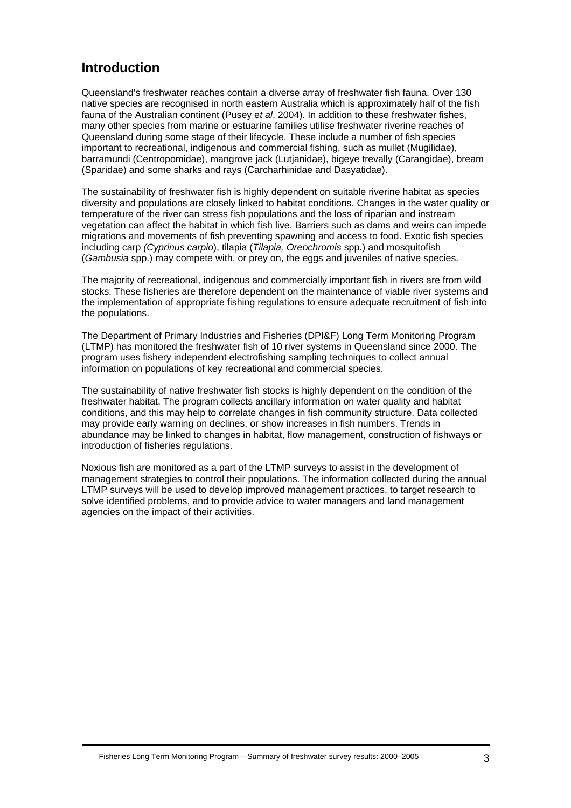## **Introduction**

Queensland's freshwater reaches contain a diverse array of freshwater fish fauna. Over 130 native species are recognised in north eastern Australia which is approximately half of the fish fauna of the Australian continent (Pusey e*t al*. 2004). In addition to these freshwater fishes, many other species from marine or estuarine families utilise freshwater riverine reaches of Queensland during some stage of their lifecycle. These include a number of fish species important to recreational, indigenous and commercial fishing, such as mullet (Mugilidae), barramundi (Centropomidae), mangrove jack (Lutjanidae), bigeye trevally (Carangidae), bream (Sparidae) and some sharks and rays (Carcharhinidae and Dasyatidae).

The sustainability of freshwater fish is highly dependent on suitable riverine habitat as species diversity and populations are closely linked to habitat conditions. Changes in the water quality or temperature of the river can stress fish populations and the loss of riparian and instream vegetation can affect the habitat in which fish live. Barriers such as dams and weirs can impede migrations and movements of fish preventing spawning and access to food. Exotic fish species including carp *(Cyprinus carpio*), tilapia (*Tilapia, Oreochromis* spp.) and mosquitofish (*Gambusia* spp.) may compete with, or prey on, the eggs and juveniles of native species.

The majority of recreational, indigenous and commercially important fish in rivers are from wild stocks. These fisheries are therefore dependent on the maintenance of viable river systems and the implementation of appropriate fishing regulations to ensure adequate recruitment of fish into the populations.

The Department of Primary Industries and Fisheries (DPI&F) Long Term Monitoring Program (LTMP) has monitored the freshwater fish of 10 river systems in Queensland since 2000. The program uses fishery independent electrofishing sampling techniques to collect annual information on populations of key recreational and commercial species.

The sustainability of native freshwater fish stocks is highly dependent on the condition of the freshwater habitat. The program collects ancillary information on water quality and habitat conditions, and this may help to correlate changes in fish community structure. Data collected may provide early warning on declines, or show increases in fish numbers. Trends in abundance may be linked to changes in habitat, flow management, construction of fishways or introduction of fisheries regulations.

Noxious fish are monitored as a part of the LTMP surveys to assist in the development of management strategies to control their populations. The information collected during the annual LTMP surveys will be used to develop improved management practices, to target research to solve identified problems, and to provide advice to water managers and land management agencies on the impact of their activities.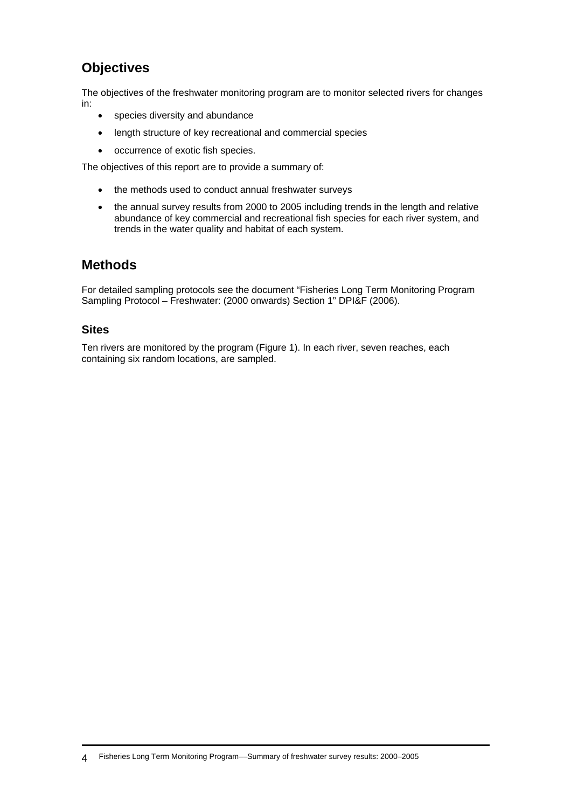## **Objectives**

The objectives of the freshwater monitoring program are to monitor selected rivers for changes in:

- species diversity and abundance
- length structure of key recreational and commercial species
- occurrence of exotic fish species.

The objectives of this report are to provide a summary of:

- the methods used to conduct annual freshwater surveys
- the annual survey results from 2000 to 2005 including trends in the length and relative abundance of key commercial and recreational fish species for each river system, and trends in the water quality and habitat of each system.

## **Methods**

For detailed sampling protocols see the document "Fisheries Long Term Monitoring Program Sampling Protocol – Freshwater: (2000 onwards) Section 1" DPI&F (2006).

## **Sites**

Ten rivers are monitored by the program (Figure 1). In each river, seven reaches, each containing six random locations, are sampled.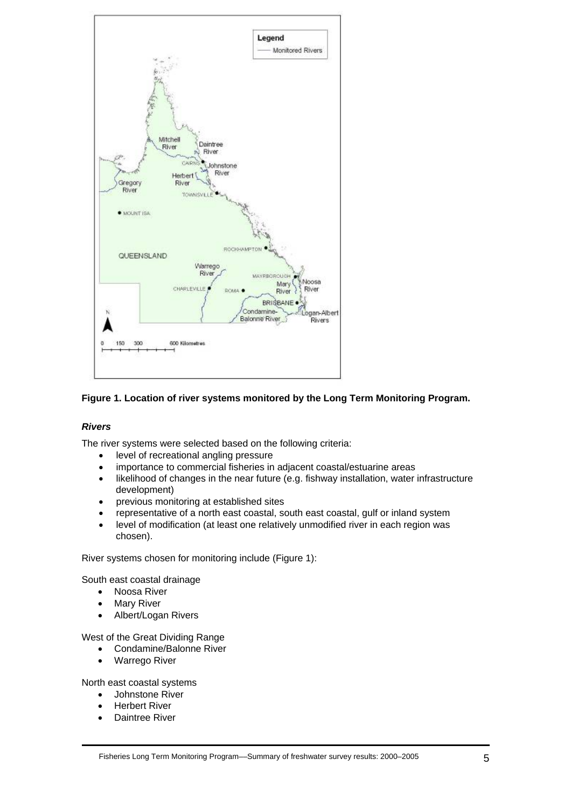

### **Figure 1. Location of river systems monitored by the Long Term Monitoring Program.**

### *Rivers*

The river systems were selected based on the following criteria:

- level of recreational angling pressure
- importance to commercial fisheries in adjacent coastal/estuarine areas
- likelihood of changes in the near future (e.g. fishway installation, water infrastructure development)
- previous monitoring at established sites
- representative of a north east coastal, south east coastal, gulf or inland system
- level of modification (at least one relatively unmodified river in each region was chosen).

River systems chosen for monitoring include (Figure 1):

South east coastal drainage

- Noosa River
- **Mary River**
- Albert/Logan Rivers

West of the Great Dividing Range

- Condamine/Balonne River
- Warrego River

North east coastal systems

- Johnstone River
- Herbert River
- Daintree River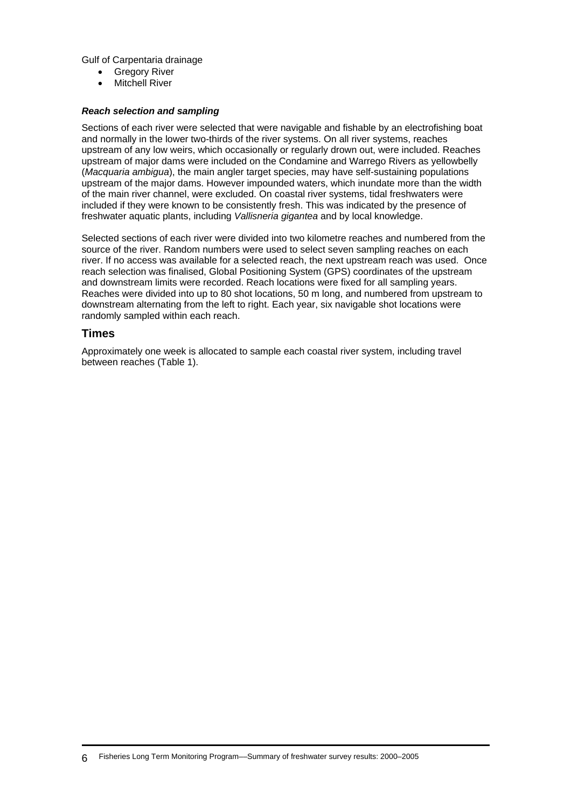Gulf of Carpentaria drainage

- **Gregory River**
- Mitchell River

### *Reach selection and sampling*

Sections of each river were selected that were navigable and fishable by an electrofishing boat and normally in the lower two-thirds of the river systems. On all river systems, reaches upstream of any low weirs, which occasionally or regularly drown out, were included. Reaches upstream of major dams were included on the Condamine and Warrego Rivers as yellowbelly (*Macquaria ambigua*), the main angler target species, may have self-sustaining populations upstream of the major dams. However impounded waters, which inundate more than the width of the main river channel, were excluded. On coastal river systems, tidal freshwaters were included if they were known to be consistently fresh. This was indicated by the presence of freshwater aquatic plants, including *Vallisneria gigantea* and by local knowledge.

Selected sections of each river were divided into two kilometre reaches and numbered from the source of the river. Random numbers were used to select seven sampling reaches on each river. If no access was available for a selected reach, the next upstream reach was used. Once reach selection was finalised, Global Positioning System (GPS) coordinates of the upstream and downstream limits were recorded. Reach locations were fixed for all sampling years. Reaches were divided into up to 80 shot locations, 50 m long, and numbered from upstream to downstream alternating from the left to right. Each year, six navigable shot locations were randomly sampled within each reach.

### **Times**

Approximately one week is allocated to sample each coastal river system, including travel between reaches (Table 1).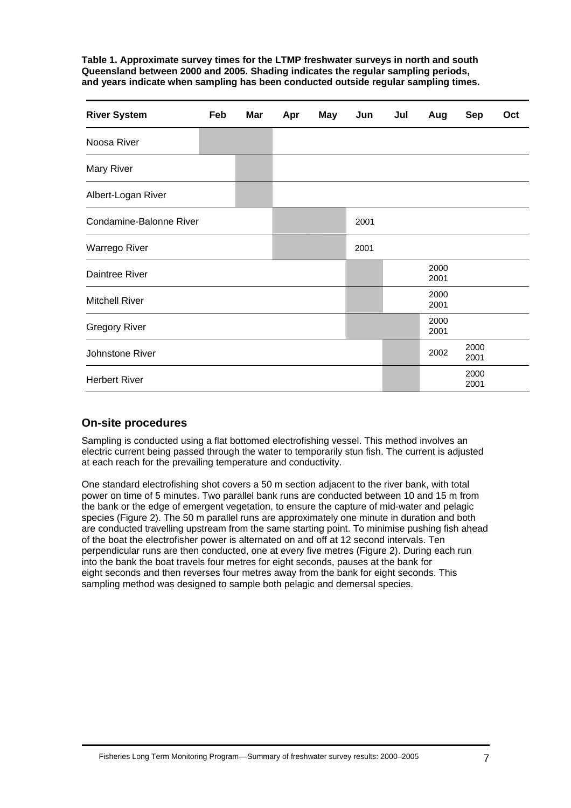**Table 1. Approximate survey times for the LTMP freshwater surveys in north and south Queensland between 2000 and 2005. Shading indicates the regular sampling periods, and years indicate when sampling has been conducted outside regular sampling times.** 

| <b>River System</b>     | Feb | <b>Mar</b> | Apr | May | Jun  | Jul | Aug          | <b>Sep</b>   | Oct |
|-------------------------|-----|------------|-----|-----|------|-----|--------------|--------------|-----|
| Noosa River             |     |            |     |     |      |     |              |              |     |
| Mary River              |     |            |     |     |      |     |              |              |     |
| Albert-Logan River      |     |            |     |     |      |     |              |              |     |
| Condamine-Balonne River |     |            |     |     | 2001 |     |              |              |     |
| Warrego River           |     |            |     |     | 2001 |     |              |              |     |
| Daintree River          |     |            |     |     |      |     | 2000<br>2001 |              |     |
| <b>Mitchell River</b>   |     |            |     |     |      |     | 2000<br>2001 |              |     |
| <b>Gregory River</b>    |     |            |     |     |      |     | 2000<br>2001 |              |     |
| Johnstone River         |     |            |     |     |      |     | 2002         | 2000<br>2001 |     |
| <b>Herbert River</b>    |     |            |     |     |      |     |              | 2000<br>2001 |     |

## **On-site procedures**

Sampling is conducted using a flat bottomed electrofishing vessel. This method involves an electric current being passed through the water to temporarily stun fish. The current is adjusted at each reach for the prevailing temperature and conductivity.

One standard electrofishing shot covers a 50 m section adjacent to the river bank, with total power on time of 5 minutes. Two parallel bank runs are conducted between 10 and 15 m from the bank or the edge of emergent vegetation, to ensure the capture of mid-water and pelagic species (Figure 2). The 50 m parallel runs are approximately one minute in duration and both are conducted travelling upstream from the same starting point. To minimise pushing fish ahead of the boat the electrofisher power is alternated on and off at 12 second intervals. Ten perpendicular runs are then conducted, one at every five metres (Figure 2). During each run into the bank the boat travels four metres for eight seconds, pauses at the bank for eight seconds and then reverses four metres away from the bank for eight seconds. This sampling method was designed to sample both pelagic and demersal species.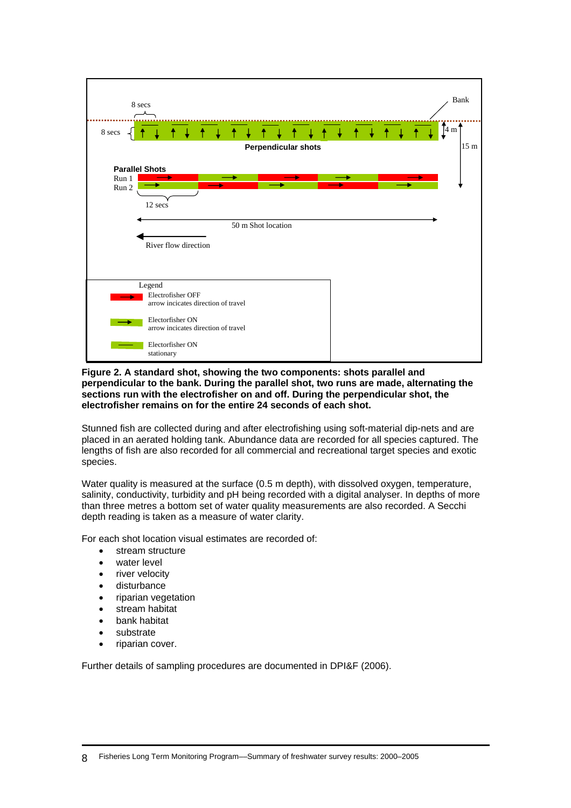

#### **Figure 2. A standard shot, showing the two components: shots parallel and perpendicular to the bank. During the parallel shot, two runs are made, alternating the sections run with the electrofisher on and off. During the perpendicular shot, the electrofisher remains on for the entire 24 seconds of each shot.**

Stunned fish are collected during and after electrofishing using soft-material dip-nets and are placed in an aerated holding tank. Abundance data are recorded for all species captured. The lengths of fish are also recorded for all commercial and recreational target species and exotic species.

Water quality is measured at the surface (0.5 m depth), with dissolved oxygen, temperature, salinity, conductivity, turbidity and pH being recorded with a digital analyser. In depths of more than three metres a bottom set of water quality measurements are also recorded. A Secchi depth reading is taken as a measure of water clarity.

For each shot location visual estimates are recorded of:

- stream structure
- water level
- river velocity
- disturbance
- riparian vegetation
- stream habitat
- bank habitat
- substrate
- riparian cover.

Further details of sampling procedures are documented in DPI&F (2006).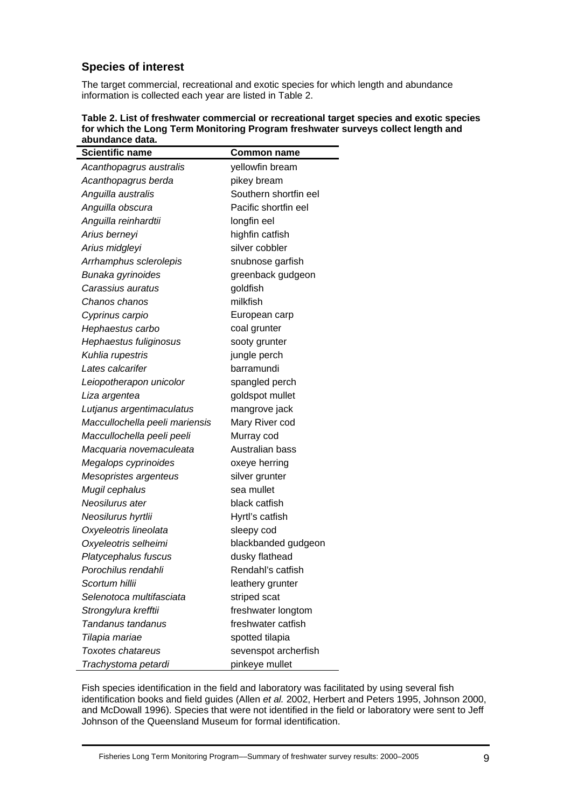## **Species of interest**

The target commercial, recreational and exotic species for which length and abundance information is collected each year are listed in Table 2.

| <b>Scientific name</b>         | <b>Common name</b>    |
|--------------------------------|-----------------------|
| Acanthopagrus australis        | yellowfin bream       |
| Acanthopagrus berda            | pikey bream           |
| Anguilla australis             | Southern shortfin eel |
| Anguilla obscura               | Pacific shortfin eel  |
| Anguilla reinhardtii           | longfin eel           |
| Arius berneyi                  | highfin catfish       |
| Arius midgleyi                 | silver cobbler        |
| Arrhamphus sclerolepis         | snubnose garfish      |
| Bunaka gyrinoides              | greenback gudgeon     |
| Carassius auratus              | goldfish              |
| Chanos chanos                  | milkfish              |
| Cyprinus carpio                | European carp         |
| Hephaestus carbo               | coal grunter          |
| Hephaestus fuliginosus         | sooty grunter         |
| Kuhlia rupestris               | jungle perch          |
| Lates calcarifer               | barramundi            |
| Leiopotherapon unicolor        | spangled perch        |
| Liza argentea                  | goldspot mullet       |
| Lutjanus argentimaculatus      | mangrove jack         |
| Maccullochella peeli mariensis | Mary River cod        |
| Maccullochella peeli peeli     | Murray cod            |
| Macquaria novemaculeata        | Australian bass       |
| Megalops cyprinoides           | oxeye herring         |
| Mesopristes argenteus          | silver grunter        |
| Mugil cephalus                 | sea mullet            |
| Neosilurus ater                | black catfish         |
| Neosilurus hyrtlii             | Hyrtl's catfish       |
| Oxyeleotris lineolata          | sleepy cod            |
| Oxyeleotris selheimi           | blackbanded gudgeon   |
| Platycephalus fuscus           | dusky flathead        |
| Porochilus rendahli            | Rendahl's catfish     |
| Scortum hillii                 | leathery grunter      |
| Selenotoca multifasciata       | striped scat          |
| Strongylura krefftii           | freshwater longtom    |
| Tandanus tandanus              | freshwater catfish    |
| Tilapia mariae                 | spotted tilapia       |
| <b>Toxotes chatareus</b>       | sevenspot archerfish  |
| Trachystoma petardi            | pinkeye mullet        |

**Table 2. List of freshwater commercial or recreational target species and exotic species for which the Long Term Monitoring Program freshwater surveys collect length and abundance data.** 

Fish species identification in the field and laboratory was facilitated by using several fish identification books and field guides (Allen *et al.* 2002, Herbert and Peters 1995, Johnson 2000, and McDowall 1996). Species that were not identified in the field or laboratory were sent to Jeff Johnson of the Queensland Museum for formal identification.